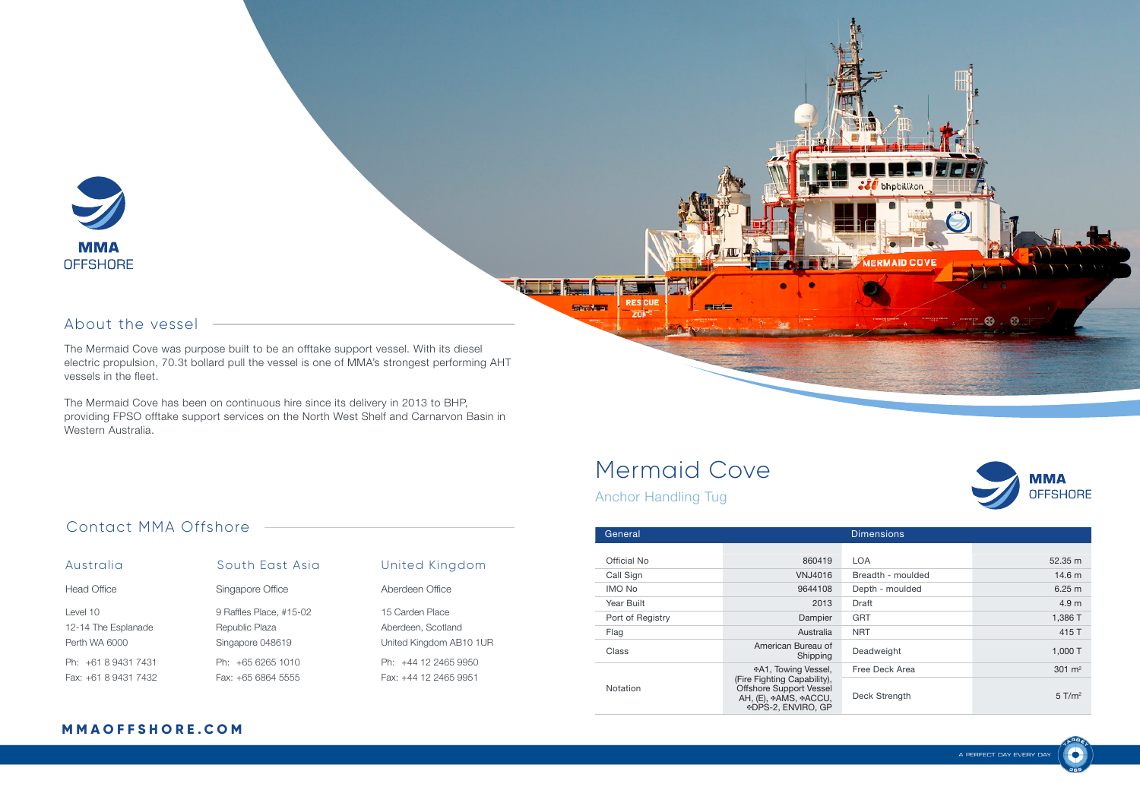

#### About the vessel

The Mermaid Cove was purpose built to be an offtake support vessel. With its diesel electric propulsion, 70.3t bollard pull the vessel is one of MMA's strongest performing AHT vessels in the fleet.

The Mermaid Cove has been on continuous hire since its delivery in 2013 to BHP, providing FPSO offtake support services on the North West Shelf and Carnarvon Basin in Western Australia.



**Reader** 

## Contact MMA Offshore

| Australia            | South East Asia         |  |
|----------------------|-------------------------|--|
| Head Office          | Singapore Office        |  |
| Level 10             | 9 Raffles Place, #15-02 |  |
| 12-14 The Esplanade  | Republic Plaza          |  |
| Perth WA 6000        | Singapore 048619        |  |
| $Ph: +61894317431$   | $Ph: +6562651010$       |  |
| Fax: +61 8 9431 7432 | Fax: +65 6864 5555      |  |

## **United Kingdom** Aberdeen Office 15 Carden Place Aberdeen, Scotland United Kingdom AB10 1UR Ph: +44 12 2465 9950 Fax: +44 12 2465 9951

# Mermaid Cove



Anchor Handling Tug

**RES CUE** 

 $70k$ 

**ROOM** 

| General          |                                                                                                                                               | <b>Dimensions</b> |                      |
|------------------|-----------------------------------------------------------------------------------------------------------------------------------------------|-------------------|----------------------|
|                  |                                                                                                                                               |                   |                      |
| Official No      | 860419                                                                                                                                        | <b>LOA</b>        | 52.35 m              |
| Call Sign        | <b>VNJ4016</b>                                                                                                                                | Breadth - moulded | 14.6 <sub>m</sub>    |
| <b>IMO No</b>    | 9644108                                                                                                                                       | Depth - moulded   | 6.25 m               |
| Year Built       | 2013                                                                                                                                          | Draft             | 4.9 <sub>m</sub>     |
| Port of Registry | Dampier                                                                                                                                       | GRT               | 1,386 T              |
| Flag             | Australia                                                                                                                                     | <b>NRT</b>        | 415 T                |
| Class            | American Bureau of<br>Shipping                                                                                                                | Deadweight        | 1,000 T              |
| Notation         | *A1, Towing Vessel,                                                                                                                           | Free Deck Area    | $301 \text{ m}^2$    |
|                  | (Fire Fighting Capability),<br><b>Offshore Support Vessel</b><br>AH, (E), $\frac{1}{2}$ AMS, $\frac{1}{2}$ ACCU,<br><b>*DPS-2, ENVIRO, GP</b> | Deck Strength     | $5$ T/m <sup>2</sup> |

**MERMAID COVE** 

T. E.

### **M M A O F F S H O R E . C O M**

 $\bullet$